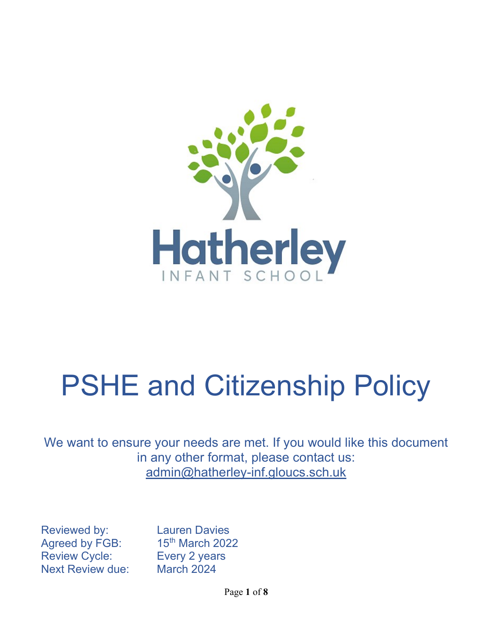

# PSHE and Citizenship Policy

We want to ensure your needs are met. If you would like this document in any other format, please contact us: admin@hatherley-inf.gloucs.sch.uk

Reviewed by: Lauren Davies Agreed by FGB: 15<sup>th</sup> March 2022 Review Cycle: Every 2 years Next Review due: March 2024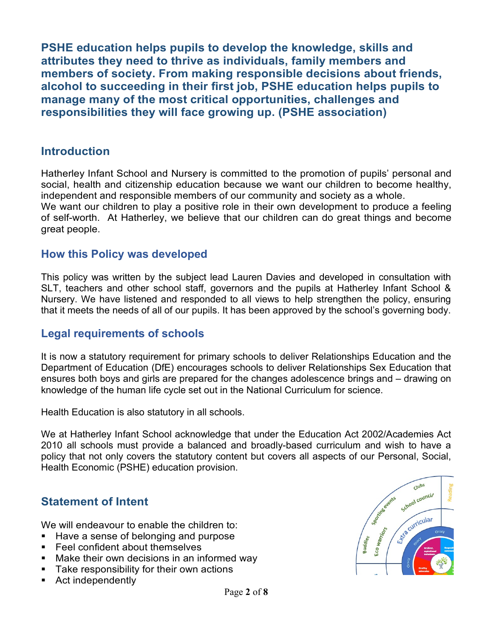PSHE education helps pupils to develop the knowledge, skills and attributes they need to thrive as individuals, family members and members of society. From making responsible decisions about friends, alcohol to succeeding in their first job, PSHE education helps pupils to manage many of the most critical opportunities, challenges and responsibilities they will face growing up. (PSHE association)

## **Introduction**

Hatherley Infant School and Nursery is committed to the promotion of pupils' personal and social, health and citizenship education because we want our children to become healthy, independent and responsible members of our community and society as a whole. We want our children to play a positive role in their own development to produce a feeling of self-worth. At Hatherley, we believe that our children can do great things and become great people.

## How this Policy was developed

This policy was written by the subject lead Lauren Davies and developed in consultation with SLT, teachers and other school staff, governors and the pupils at Hatherley Infant School & Nursery. We have listened and responded to all views to help strengthen the policy, ensuring that it meets the needs of all of our pupils. It has been approved by the school's governing body.

## Legal requirements of schools

It is now a statutory requirement for primary schools to deliver Relationships Education and the Department of Education (DfE) encourages schools to deliver Relationships Sex Education that ensures both boys and girls are prepared for the changes adolescence brings and – drawing on knowledge of the human life cycle set out in the National Curriculum for science.

Health Education is also statutory in all schools.

We at Hatherley Infant School acknowledge that under the Education Act 2002/Academies Act 2010 all schools must provide a balanced and broadly-based curriculum and wish to have a policy that not only covers the statutory content but covers all aspects of our Personal, Social, Health Economic (PSHE) education provision.

# Statement of Intent

We will endeavour to enable the children to:

- Have a sense of belonging and purpose
- Feel confident about themselves
- Make their own decisions in an informed way
- Take responsibility for their own actions
- Act independently

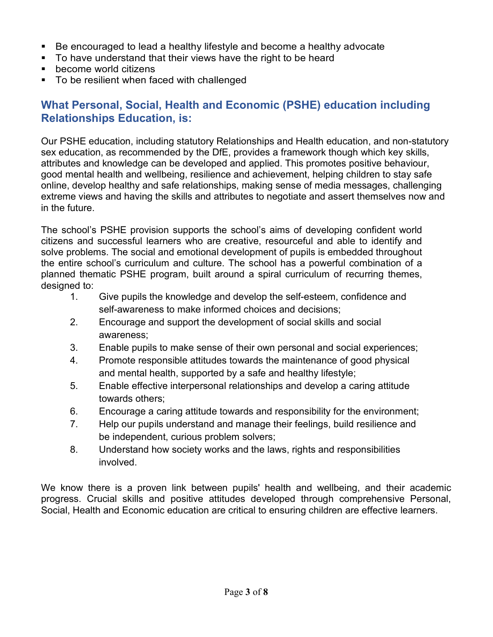- Be encouraged to lead a healthy lifestyle and become a healthy advocate
- To have understand that their views have the right to be heard
- become world citizens
- To be resilient when faced with challenged

## What Personal, Social, Health and Economic (PSHE) education including Relationships Education, is:

Our PSHE education, including statutory Relationships and Health education, and non-statutory sex education, as recommended by the DfE, provides a framework though which key skills, attributes and knowledge can be developed and applied. This promotes positive behaviour, good mental health and wellbeing, resilience and achievement, helping children to stay safe online, develop healthy and safe relationships, making sense of media messages, challenging extreme views and having the skills and attributes to negotiate and assert themselves now and in the future.

The school's PSHE provision supports the school's aims of developing confident world citizens and successful learners who are creative, resourceful and able to identify and solve problems. The social and emotional development of pupils is embedded throughout the entire school's curriculum and culture. The school has a powerful combination of a planned thematic PSHE program, built around a spiral curriculum of recurring themes, designed to:

- 1. Give pupils the knowledge and develop the self-esteem, confidence and self-awareness to make informed choices and decisions;
- 2. Encourage and support the development of social skills and social awareness;
- 3. Enable pupils to make sense of their own personal and social experiences;
- 4. Promote responsible attitudes towards the maintenance of good physical and mental health, supported by a safe and healthy lifestyle;
- 5. Enable effective interpersonal relationships and develop a caring attitude towards others;
- 6. Encourage a caring attitude towards and responsibility for the environment;
- 7. Help our pupils understand and manage their feelings, build resilience and be independent, curious problem solvers;
- 8. Understand how society works and the laws, rights and responsibilities involved.

We know there is a proven link between pupils' health and wellbeing, and their academic progress. Crucial skills and positive attitudes developed through comprehensive Personal, Social, Health and Economic education are critical to ensuring children are effective learners.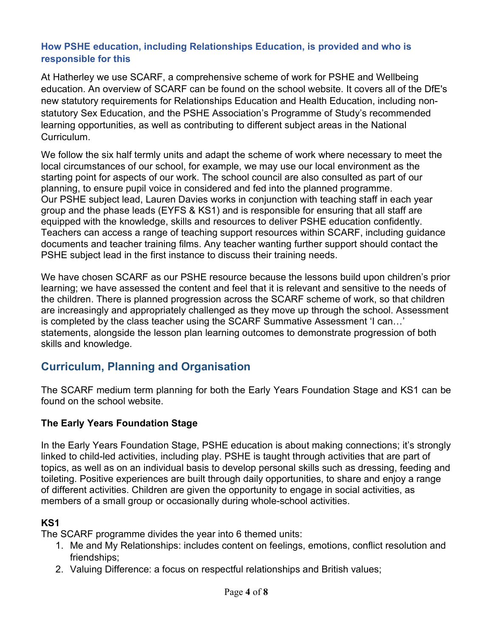#### How PSHE education, including Relationships Education, is provided and who is responsible for this

At Hatherley we use SCARF, a comprehensive scheme of work for PSHE and Wellbeing education. An overview of SCARF can be found on the school website. It covers all of the DfE's new statutory requirements for Relationships Education and Health Education, including nonstatutory Sex Education, and the PSHE Association's Programme of Study's recommended learning opportunities, as well as contributing to different subject areas in the National Curriculum.

We follow the six half termly units and adapt the scheme of work where necessary to meet the local circumstances of our school, for example, we may use our local environment as the starting point for aspects of our work. The school council are also consulted as part of our planning, to ensure pupil voice in considered and fed into the planned programme. Our PSHE subject lead, Lauren Davies works in conjunction with teaching staff in each year group and the phase leads (EYFS & KS1) and is responsible for ensuring that all staff are equipped with the knowledge, skills and resources to deliver PSHE education confidently. Teachers can access a range of teaching support resources within SCARF, including guidance documents and teacher training films. Any teacher wanting further support should contact the PSHE subject lead in the first instance to discuss their training needs.

We have chosen SCARF as our PSHE resource because the lessons build upon children's prior learning; we have assessed the content and feel that it is relevant and sensitive to the needs of the children. There is planned progression across the SCARF scheme of work, so that children are increasingly and appropriately challenged as they move up through the school. Assessment is completed by the class teacher using the SCARF Summative Assessment 'I can…' statements, alongside the lesson plan learning outcomes to demonstrate progression of both skills and knowledge.

## Curriculum, Planning and Organisation

The SCARF medium term planning for both the Early Years Foundation Stage and KS1 can be found on the school website.

#### The Early Years Foundation Stage

In the Early Years Foundation Stage, PSHE education is about making connections; it's strongly linked to child-led activities, including play. PSHE is taught through activities that are part of topics, as well as on an individual basis to develop personal skills such as dressing, feeding and toileting. Positive experiences are built through daily opportunities, to share and enjoy a range of different activities. Children are given the opportunity to engage in social activities, as members of a small group or occasionally during whole-school activities.

#### KS1

The SCARF programme divides the year into 6 themed units:

- 1. Me and My Relationships: includes content on feelings, emotions, conflict resolution and friendships;
- 2. Valuing Difference: a focus on respectful relationships and British values;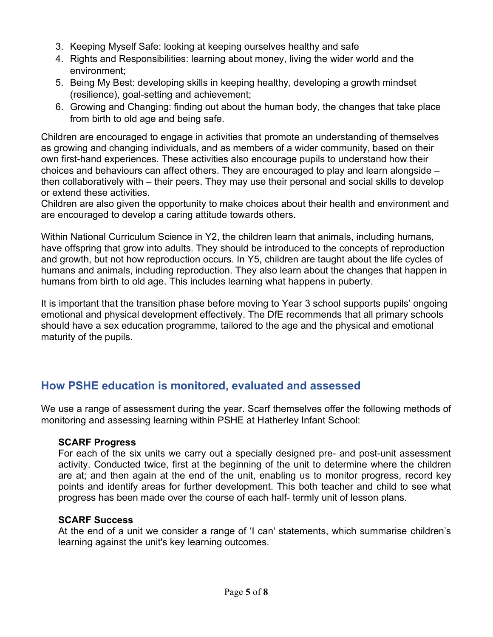- 3. Keeping Myself Safe: looking at keeping ourselves healthy and safe
- 4. Rights and Responsibilities: learning about money, living the wider world and the environment;
- 5. Being My Best: developing skills in keeping healthy, developing a growth mindset (resilience), goal-setting and achievement;
- 6. Growing and Changing: finding out about the human body, the changes that take place from birth to old age and being safe.

Children are encouraged to engage in activities that promote an understanding of themselves as growing and changing individuals, and as members of a wider community, based on their own first-hand experiences. These activities also encourage pupils to understand how their choices and behaviours can affect others. They are encouraged to play and learn alongside – then collaboratively with – their peers. They may use their personal and social skills to develop or extend these activities.

Children are also given the opportunity to make choices about their health and environment and are encouraged to develop a caring attitude towards others.

Within National Curriculum Science in Y2, the children learn that animals, including humans, have offspring that grow into adults. They should be introduced to the concepts of reproduction and growth, but not how reproduction occurs. In Y5, children are taught about the life cycles of humans and animals, including reproduction. They also learn about the changes that happen in humans from birth to old age. This includes learning what happens in puberty.

It is important that the transition phase before moving to Year 3 school supports pupils' ongoing emotional and physical development effectively. The DfE recommends that all primary schools should have a sex education programme, tailored to the age and the physical and emotional maturity of the pupils.

## How PSHE education is monitored, evaluated and assessed

We use a range of assessment during the year. Scarf themselves offer the following methods of monitoring and assessing learning within PSHE at Hatherley Infant School:

#### SCARF Progress

For each of the six units we carry out a specially designed pre- and post-unit assessment activity. Conducted twice, first at the beginning of the unit to determine where the children are at; and then again at the end of the unit, enabling us to monitor progress, record key points and identify areas for further development. This both teacher and child to see what progress has been made over the course of each half- termly unit of lesson plans.

#### SCARF Success

At the end of a unit we consider a range of 'I can' statements, which summarise children's learning against the unit's key learning outcomes.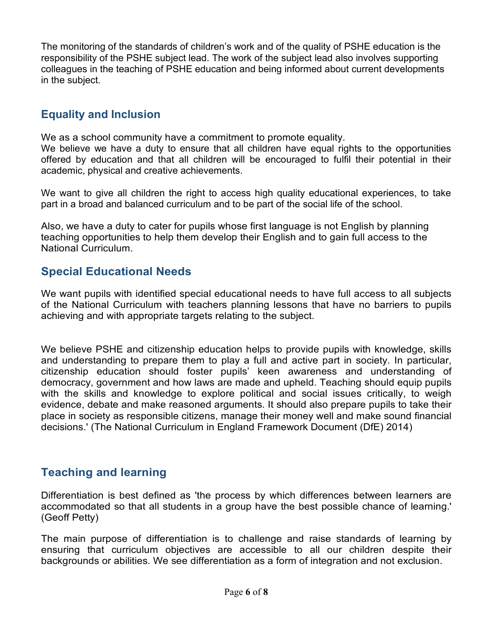The monitoring of the standards of children's work and of the quality of PSHE education is the responsibility of the PSHE subject lead. The work of the subject lead also involves supporting colleagues in the teaching of PSHE education and being informed about current developments in the subject.

# Equality and Inclusion

We as a school community have a commitment to promote equality.

We believe we have a duty to ensure that all children have equal rights to the opportunities offered by education and that all children will be encouraged to fulfil their potential in their academic, physical and creative achievements.

We want to give all children the right to access high quality educational experiences, to take part in a broad and balanced curriculum and to be part of the social life of the school.

Also, we have a duty to cater for pupils whose first language is not English by planning teaching opportunities to help them develop their English and to gain full access to the National Curriculum.

# Special Educational Needs

We want pupils with identified special educational needs to have full access to all subjects of the National Curriculum with teachers planning lessons that have no barriers to pupils achieving and with appropriate targets relating to the subject.

We believe PSHE and citizenship education helps to provide pupils with knowledge, skills and understanding to prepare them to play a full and active part in society. In particular, citizenship education should foster pupils' keen awareness and understanding of democracy, government and how laws are made and upheld. Teaching should equip pupils with the skills and knowledge to explore political and social issues critically, to weigh evidence, debate and make reasoned arguments. It should also prepare pupils to take their place in society as responsible citizens, manage their money well and make sound financial decisions.' (The National Curriculum in England Framework Document (DfE) 2014)

# Teaching and learning

Differentiation is best defined as 'the process by which differences between learners are accommodated so that all students in a group have the best possible chance of learning.' (Geoff Petty)

The main purpose of differentiation is to challenge and raise standards of learning by ensuring that curriculum objectives are accessible to all our children despite their backgrounds or abilities. We see differentiation as a form of integration and not exclusion.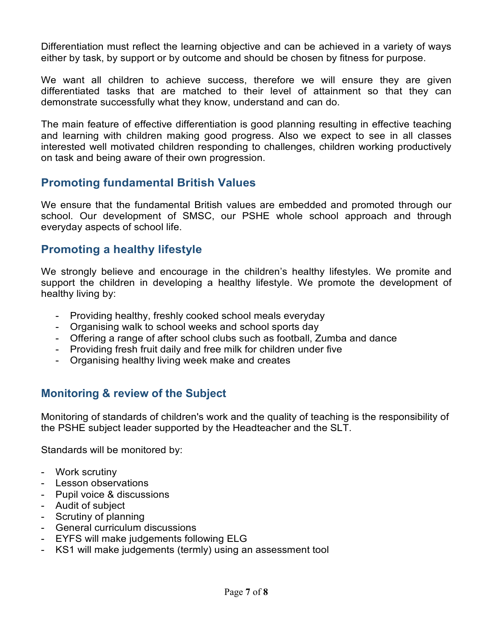Differentiation must reflect the learning objective and can be achieved in a variety of ways either by task, by support or by outcome and should be chosen by fitness for purpose.

We want all children to achieve success, therefore we will ensure they are given differentiated tasks that are matched to their level of attainment so that they can demonstrate successfully what they know, understand and can do.

The main feature of effective differentiation is good planning resulting in effective teaching and learning with children making good progress. Also we expect to see in all classes interested well motivated children responding to challenges, children working productively on task and being aware of their own progression.

## Promoting fundamental British Values

 We ensure that the fundamental British values are embedded and promoted through our school. Our development of SMSC, our PSHE whole school approach and through everyday aspects of school life.

## Promoting a healthy lifestyle

We strongly believe and encourage in the children's healthy lifestyles. We promite and support the children in developing a healthy lifestyle. We promote the development of healthy living by:

- Providing healthy, freshly cooked school meals everyday
- Organising walk to school weeks and school sports day
- Offering a range of after school clubs such as football, Zumba and dance
- Providing fresh fruit daily and free milk for children under five
- Organising healthy living week make and creates

# Monitoring & review of the Subject

Monitoring of standards of children's work and the quality of teaching is the responsibility of the PSHE subject leader supported by the Headteacher and the SLT.

Standards will be monitored by:

- Work scrutiny
- Lesson observations
- Pupil voice & discussions
- Audit of subject
- Scrutiny of planning
- General curriculum discussions
- EYFS will make judgements following ELG
- KS1 will make judgements (termly) using an assessment tool